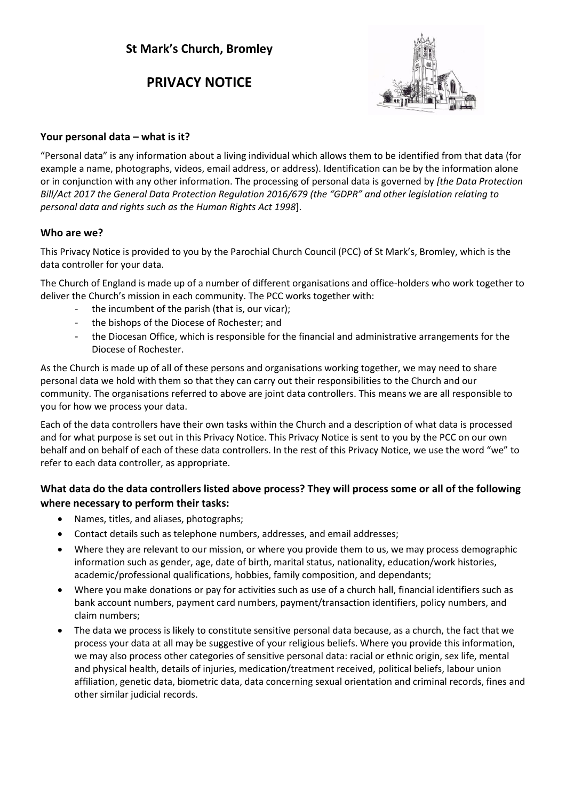# **PRIVACY NOTICE**



# **Your personal data – what is it?**

"Personal data" is any information about a living individual which allows them to be identified from that data (for example a name, photographs, videos, email address, or address). Identification can be by the information alone or in conjunction with any other information. The processing of personal data is governed by *[the Data Protection Bill/Act 2017 the General Data Protection Regulation 2016/679 (the "GDPR" and other legislation relating to personal data and rights such as the Human Rights Act 1998*].

# **Who are we?**

This Privacy Notice is provided to you by the Parochial Church Council (PCC) of St Mark's, Bromley, which is the data controller for your data.

The Church of England is made up of a number of different organisations and office-holders who work together to deliver the Church's mission in each community. The PCC works together with:

- the incumbent of the parish (that is, our vicar);
- the bishops of the Diocese of Rochester; and
- the Diocesan Office, which is responsible for the financial and administrative arrangements for the Diocese of Rochester.

As the Church is made up of all of these persons and organisations working together, we may need to share personal data we hold with them so that they can carry out their responsibilities to the Church and our community. The organisations referred to above are joint data controllers. This means we are all responsible to you for how we process your data.

Each of the data controllers have their own tasks within the Church and a description of what data is processed and for what purpose is set out in this Privacy Notice. This Privacy Notice is sent to you by the PCC on our own behalf and on behalf of each of these data controllers. In the rest of this Privacy Notice, we use the word "we" to refer to each data controller, as appropriate.

# **What data do the data controllers listed above process? They will process some or all of the following where necessary to perform their tasks:**

- Names, titles, and aliases, photographs;
- Contact details such as telephone numbers, addresses, and email addresses;
- Where they are relevant to our mission, or where you provide them to us, we may process demographic information such as gender, age, date of birth, marital status, nationality, education/work histories, academic/professional qualifications, hobbies, family composition, and dependants;
- Where you make donations or pay for activities such as use of a church hall, financial identifiers such as bank account numbers, payment card numbers, payment/transaction identifiers, policy numbers, and claim numbers;
- The data we process is likely to constitute sensitive personal data because, as a church, the fact that we process your data at all may be suggestive of your religious beliefs. Where you provide this information, we may also process other categories of sensitive personal data: racial or ethnic origin, sex life, mental and physical health, details of injuries, medication/treatment received, political beliefs, labour union affiliation, genetic data, biometric data, data concerning sexual orientation and criminal records, fines and other similar judicial records.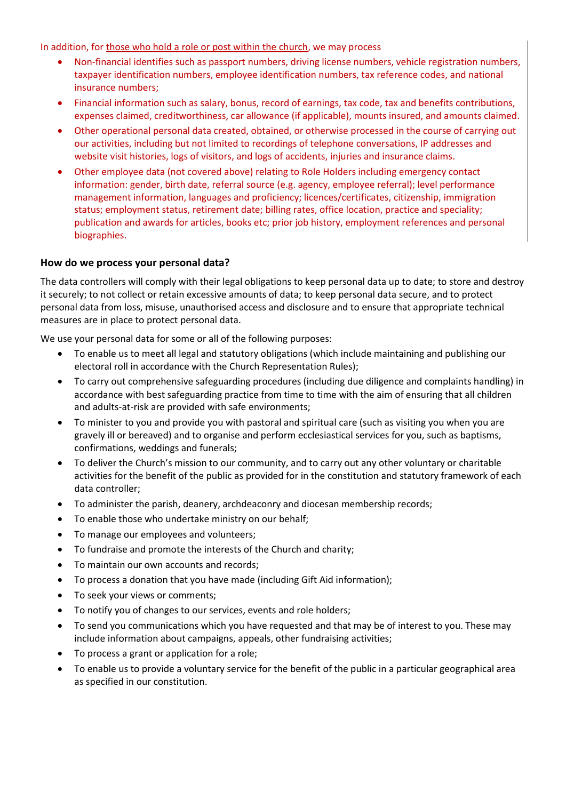In addition, for those who hold a role or post within the church, we may process

- Non-financial identifies such as passport numbers, driving license numbers, vehicle registration numbers, taxpayer identification numbers, employee identification numbers, tax reference codes, and national insurance numbers;
- Financial information such as salary, bonus, record of earnings, tax code, tax and benefits contributions, expenses claimed, creditworthiness, car allowance (if applicable), mounts insured, and amounts claimed.
- Other operational personal data created, obtained, or otherwise processed in the course of carrying out our activities, including but not limited to recordings of telephone conversations, IP addresses and website visit histories, logs of visitors, and logs of accidents, injuries and insurance claims.
- Other employee data (not covered above) relating to Role Holders including emergency contact information: gender, birth date, referral source (e.g. agency, employee referral); level performance management information, languages and proficiency; licences/certificates, citizenship, immigration status; employment status, retirement date; billing rates, office location, practice and speciality; publication and awards for articles, books etc; prior job history, employment references and personal biographies.

# **How do we process your personal data?**

The data controllers will comply with their legal obligations to keep personal data up to date; to store and destroy it securely; to not collect or retain excessive amounts of data; to keep personal data secure, and to protect personal data from loss, misuse, unauthorised access and disclosure and to ensure that appropriate technical measures are in place to protect personal data.

We use your personal data for some or all of the following purposes:

- To enable us to meet all legal and statutory obligations (which include maintaining and publishing our electoral roll in accordance with the Church Representation Rules);
- To carry out comprehensive safeguarding procedures (including due diligence and complaints handling) in accordance with best safeguarding practice from time to time with the aim of ensuring that all children and adults-at-risk are provided with safe environments;
- To minister to you and provide you with pastoral and spiritual care (such as visiting you when you are gravely ill or bereaved) and to organise and perform ecclesiastical services for you, such as baptisms, confirmations, weddings and funerals;
- To deliver the Church's mission to our community, and to carry out any other voluntary or charitable activities for the benefit of the public as provided for in the constitution and statutory framework of each data controller;
- To administer the parish, deanery, archdeaconry and diocesan membership records;
- To enable those who undertake ministry on our behalf;
- To manage our employees and volunteers;
- To fundraise and promote the interests of the Church and charity;
- To maintain our own accounts and records;
- To process a donation that you have made (including Gift Aid information);
- To seek your views or comments;
- To notify you of changes to our services, events and role holders;
- To send you communications which you have requested and that may be of interest to you. These may include information about campaigns, appeals, other fundraising activities;
- To process a grant or application for a role;
- To enable us to provide a voluntary service for the benefit of the public in a particular geographical area as specified in our constitution.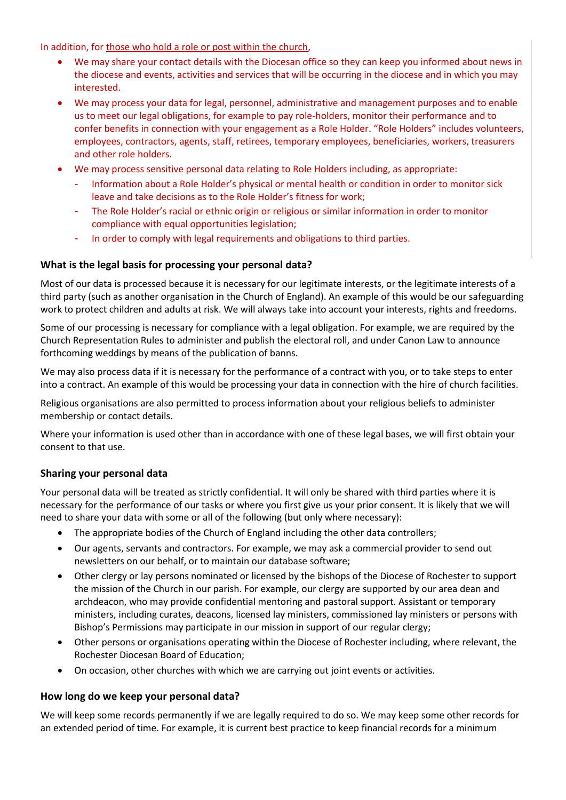In addition, for those who hold a role or post within the church,

- We may share your contact details with the Diocesan office so they can keep you informed about news in the diocese and events, activities and services that will be occurring in the diocese and in which you may interested.
- We may process your data for legal, personnel, administrative and management purposes and to enable us to meet our legal obligations, for example to pay role-holders, monitor their performance and to confer benefits in connection with your engagement as a Role Holder. "Role Holders" includes volunteers, employees, contractors, agents, staff, retirees, temporary employees, beneficiaries, workers, treasurers and other role holders.
- We may process sensitive personal data relating to Role Holders including, as appropriate:
	- Information about a Role Holder's physical or mental health or condition in order to monitor sick leave and take decisions as to the Role Holder's fitness for work;
	- The Role Holder's racial or ethnic origin or religious or similar information in order to monitor compliance with equal opportunities legislation;
	- In order to comply with legal requirements and obligations to third parties.

# **What is the legal basis for processing your personal data?**

Most of our data is processed because it is necessary for our legitimate interests, or the legitimate interests of a third party (such as another organisation in the Church of England). An example of this would be our safeguarding work to protect children and adults at risk. We will always take into account your interests, rights and freedoms.

Some of our processing is necessary for compliance with a legal obligation. For example, we are required by the Church Representation Rules to administer and publish the electoral roll, and under Canon Law to announce forthcoming weddings by means of the publication of banns.

We may also process data if it is necessary for the performance of a contract with you, or to take steps to enter into a contract. An example of this would be processing your data in connection with the hire of church facilities.

Religious organisations are also permitted to process information about your religious beliefs to administer membership or contact details.

Where your information is used other than in accordance with one of these legal bases, we will first obtain your consent to that use.

# **Sharing your personal data**

Your personal data will be treated as strictly confidential. It will only be shared with third parties where it is necessary for the performance of our tasks or where you first give us your prior consent. It is likely that we will need to share your data with some or all of the following (but only where necessary):

- The appropriate bodies of the Church of England including the other data controllers;
- Our agents, servants and contractors. For example, we may ask a commercial provider to send out newsletters on our behalf, or to maintain our database software;
- Other clergy or lay persons nominated or licensed by the bishops of the Diocese of Rochester to support the mission of the Church in our parish. For example, our clergy are supported by our area dean and archdeacon, who may provide confidential mentoring and pastoral support. Assistant or temporary ministers, including curates, deacons, licensed lay ministers, commissioned lay ministers or persons with Bishop's Permissions may participate in our mission in support of our regular clergy;
- Other persons or organisations operating within the Diocese of Rochester including, where relevant, the Rochester Diocesan Board of Education;
- On occasion, other churches with which we are carrying out joint events or activities.

#### **How long do we keep your personal data?**

We will keep some records permanently if we are legally required to do so. We may keep some other records for an extended period of time. For example, it is current best practice to keep financial records for a minimum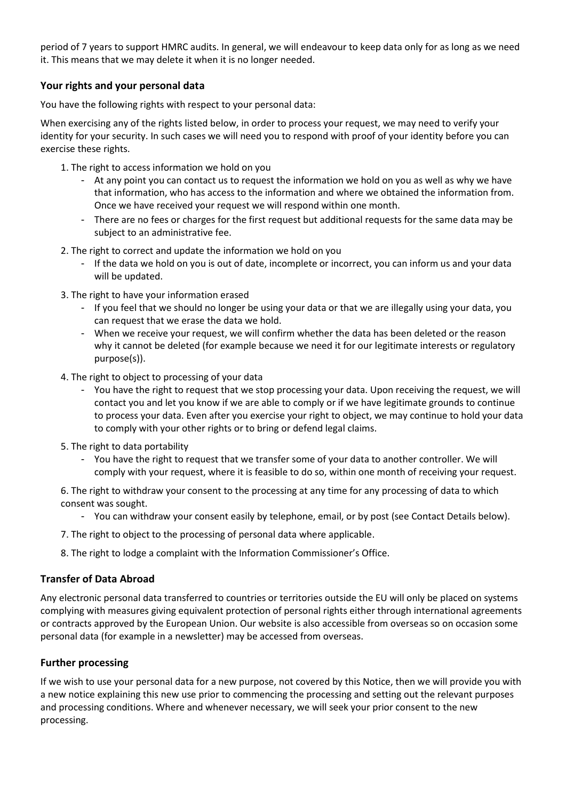period of 7 years to support HMRC audits. In general, we will endeavour to keep data only for as long as we need it. This means that we may delete it when it is no longer needed.

# **Your rights and your personal data**

You have the following rights with respect to your personal data:

When exercising any of the rights listed below, in order to process your request, we may need to verify your identity for your security. In such cases we will need you to respond with proof of your identity before you can exercise these rights.

- 1. The right to access information we hold on you
	- At any point you can contact us to request the information we hold on you as well as why we have that information, who has access to the information and where we obtained the information from. Once we have received your request we will respond within one month.
	- There are no fees or charges for the first request but additional requests for the same data may be subject to an administrative fee.
- 2. The right to correct and update the information we hold on you
	- If the data we hold on you is out of date, incomplete or incorrect, you can inform us and your data will be updated.
- 3. The right to have your information erased
	- If you feel that we should no longer be using your data or that we are illegally using your data, you can request that we erase the data we hold.
	- When we receive your request, we will confirm whether the data has been deleted or the reason why it cannot be deleted (for example because we need it for our legitimate interests or regulatory purpose(s)).
- 4. The right to object to processing of your data
	- You have the right to request that we stop processing your data. Upon receiving the request, we will contact you and let you know if we are able to comply or if we have legitimate grounds to continue to process your data. Even after you exercise your right to object, we may continue to hold your data to comply with your other rights or to bring or defend legal claims.
- 5. The right to data portability
	- You have the right to request that we transfer some of your data to another controller. We will comply with your request, where it is feasible to do so, within one month of receiving your request.

6. The right to withdraw your consent to the processing at any time for any processing of data to which consent was sought.

- You can withdraw your consent easily by telephone, email, or by post (see Contact Details below).
- 7. The right to object to the processing of personal data where applicable.
- 8. The right to lodge a complaint with the Information Commissioner's Office.

# **Transfer of Data Abroad**

Any electronic personal data transferred to countries or territories outside the EU will only be placed on systems complying with measures giving equivalent protection of personal rights either through international agreements or contracts approved by the European Union. Our website is also accessible from overseas so on occasion some personal data (for example in a newsletter) may be accessed from overseas.

#### **Further processing**

If we wish to use your personal data for a new purpose, not covered by this Notice, then we will provide you with a new notice explaining this new use prior to commencing the processing and setting out the relevant purposes and processing conditions. Where and whenever necessary, we will seek your prior consent to the new processing.